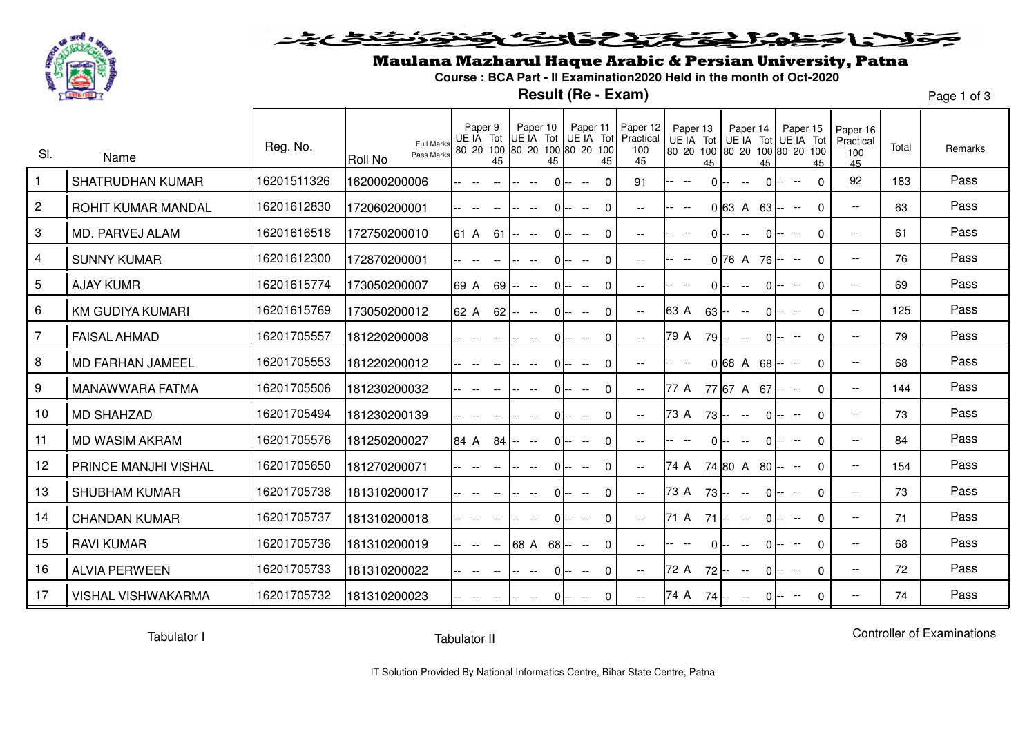

#### يحولان المتعاضر المتفاضلات التفاقع <u>ځغځځنۍ</u> قود

### Maulana Mazharul Haque Arabic & Persian University, Patna

**Course : BCA Part - II Examination2020 Held in the month of Oct-2020**

**Result (Re - Exam)**

Page 1 of 3

| SI.            | Name                      | Reg. No.    | <b>Full Marks</b><br>Pass Marks<br>Roll No | Paper 9<br>UE IA Tot<br>80 20 100                      | Paper 10<br>UE IA Tot UE IA Tot<br>80 20 100 80 20 100 | Paper 11                                            | Paper 12<br>Practical<br>100 | Paper 13<br>80 20 100 80 20 100 80 20 100 | Paper 14<br>UE IA Tot UE IA Tot UE IA Tot           | Paper 15                                                              | Paper 16<br>Practical<br>100 | Total | Remarks |
|----------------|---------------------------|-------------|--------------------------------------------|--------------------------------------------------------|--------------------------------------------------------|-----------------------------------------------------|------------------------------|-------------------------------------------|-----------------------------------------------------|-----------------------------------------------------------------------|------------------------------|-------|---------|
| $\overline{1}$ | <b>SHATRUDHAN KUMAR</b>   | 16201511326 | 162000200006                               | 45<br>$-$                                              | 45<br>$\overline{\phantom{a}}$                         | 45<br>$\Omega$<br>$0 -$<br>$\overline{\phantom{a}}$ | 45<br>91                     | 45<br>$\overline{\phantom{a}}$            | 45<br>0<br>$-$                                      | 45<br>$\Omega$<br>$\overline{\phantom{a}}$                            | 45<br>92                     | 183   | Pass    |
| $\overline{2}$ | <b>ROHIT KUMAR MANDAL</b> | 16201612830 | 172060200001                               | - --                                                   | $\overline{\phantom{a}}$                               | $\Omega$<br>∩ I−-<br>$- -$                          | $-$                          | $\overline{\phantom{a}}$                  | $0$ 63 A<br>63                                      | 0<br>$--$<br>$--$                                                     | $\overline{\phantom{a}}$     | 63    | Pass    |
| 3              | MD. PARVEJ ALAM           | 16201616518 | 172750200010                               | 61 A<br>61                                             | $\hspace{0.1mm}-\hspace{0.1mm}-\hspace{0.1mm}$         | $\Omega$<br>$0 -$<br>$\overline{\phantom{a}}$       | $\overline{\phantom{a}}$     | $-$                                       | 0<br>$- -$                                          | $\Omega$<br>$\overline{\phantom{a}}$                                  | $\overline{\phantom{a}}$     | 61    | Pass    |
| 4              | <b>SUNNY KUMAR</b>        | 16201612300 | 172870200001                               | $- -$                                                  | $\sim$                                                 | $\Omega$<br>$0 -$<br>$- -$                          | $--$                         | $-$                                       | $0\,76\,$ A<br>76                                   | $\Omega$<br>$\hspace{0.1mm}-\hspace{0.1mm}-\hspace{0.1mm}$<br><b></b> | $\overline{\phantom{a}}$     | 76    | Pass    |
| 5              | <b>AJAY KUMR</b>          | 16201615774 | 173050200007                               | 69 A<br>69                                             | $\sim$                                                 | $\Omega$<br>$0 -$<br>$\overline{\phantom{a}}$       | $\overline{\phantom{a}}$     |                                           | 0<br>$- -$                                          | $\Omega$                                                              | $\overline{\phantom{a}}$     | 69    | Pass    |
| 6              | <b>KM GUDIYA KUMARI</b>   | 16201615769 | 173050200012                               | 62 A<br>62                                             | $\hspace{0.1mm}-\hspace{0.1mm}-\hspace{0.1mm}$         | $\Omega$<br>0I--<br>$- -$                           | $\overline{\phantom{a}}$     | 63 A<br>$63 -$                            | 0<br>$-$                                            | $\Omega$                                                              | $\overline{\phantom{a}}$     | 125   | Pass    |
| $\overline{7}$ | <b>FAISAL AHMAD</b>       | 16201705557 | 181220200008                               | - --                                                   | $\overline{\phantom{a}}$                               | $\Omega$<br>0I--<br>$- -$                           | $\overline{\phantom{a}}$     | 79 A<br>79 <b>--</b>                      | 0<br>$\overline{\phantom{a}}$                       | $\Omega$<br>$-$                                                       | $\overline{\phantom{a}}$     | 79    | Pass    |
| 8              | <b>MD FARHAN JAMEEL</b>   | 16201705553 | 181220200012                               | $\overline{\phantom{a}}$                               | $\overline{\phantom{a}}$                               | 0I--<br>$\mathbf{0}$<br>$- -$                       | $\overline{\phantom{a}}$     |                                           | 068 A 68                                            | $\Omega$<br>$--$<br>$--$                                              | $\overline{\phantom{a}}$     | 68    | Pass    |
| 9              | MANAWWARA FATMA           | 16201705506 | 181230200032                               |                                                        |                                                        | $\Omega$<br>$\overline{\phantom{a}}$                | $--$                         | 77 A                                      | 77 67 A 67 --                                       | $\Omega$                                                              | $- -$                        | 144   | Pass    |
| 10             | <b>MD SHAHZAD</b>         | 16201705494 | 181230200139                               |                                                        | ΩI                                                     | $\Omega$<br>$\overline{\phantom{a}}$                | $ -$                         | 73 A<br>73 <b>--</b>                      | $\Omega$<br>$\sim$ $\sim$                           | $\Omega$                                                              | $\overline{\phantom{a}}$     | 73    | Pass    |
| 11             | <b>MD WASIM AKRAM</b>     | 16201705576 | 181250200027                               | 84 A<br>84                                             | ΩĿ                                                     | $\mathbf 0$<br>$-$                                  | $\overline{\phantom{a}}$     |                                           | 0                                                   | $\Omega$<br>$-$                                                       | $\overline{\phantom{a}}$     | 84    | Pass    |
| 12             | PRINCE MANJHI VISHAL      | 16201705650 | 181270200071                               | $\sim$                                                 | $-$                                                    | $\Omega$<br>0 I--<br>$\overline{\phantom{a}}$       | $\overline{\phantom{a}}$     | 74 A                                      | 74 80 A 80                                          | $\Omega$                                                              | $\overline{\phantom{a}}$     | 154   | Pass    |
| 13             | <b>SHUBHAM KUMAR</b>      | 16201705738 | 181310200017                               |                                                        | Ωŀ                                                     | $\Omega$<br>$\overline{\phantom{a}}$                | $--$                         | 73 A<br>73 <b>--</b>                      | 0<br>$- -$                                          | $\Omega$                                                              | $\overline{\phantom{a}}$     | 73    | Pass    |
| 14             | <b>CHANDAN KUMAR</b>      | 16201705737 | 181310200018                               | - --                                                   | $\sim$                                                 | $\Omega$<br>$- -$                                   | $- -$                        | 71 A 71 -- --                             | 0                                                   | $\Omega$                                                              | $\overline{\phantom{a}}$     | 71    | Pass    |
| 15             | <b>RAVI KUMAR</b>         | 16201705736 | 181310200019                               | - --<br>$\hspace{0.1mm}-\hspace{0.1mm}-\hspace{0.1mm}$ | $68$ A $68$ --                                         | $\Omega$<br>$- -$                                   | $--$                         |                                           | 0<br>$\hspace{0.1mm}-\hspace{0.1mm}-\hspace{0.1mm}$ | $\Omega$<br>$\overline{\phantom{a}}$                                  | $\overline{\phantom{a}}$     | 68    | Pass    |
| 16             | <b>ALVIA PERWEEN</b>      | 16201705733 | 181310200022                               | $-$                                                    | $\hspace{0.1mm}-\hspace{0.1mm}-\hspace{0.1mm}$         | $\Omega$<br>0 I--<br>$--$                           | $--$                         | 72 A<br>72 <b>-</b> -                     | 0<br>$-$                                            | 0                                                                     | $\overline{\phantom{a}}$     | 72    | Pass    |
| 17             | <b>VISHAL VISHWAKARMA</b> | 16201705732 | 181310200023                               |                                                        |                                                        | $\Omega$<br>$0 -$<br>$--$                           |                              | 74 A<br>$74 -$                            | 0                                                   | 0<br>$\overline{\phantom{a}}$                                         | $-$                          | 74    | Pass    |

Tabulator I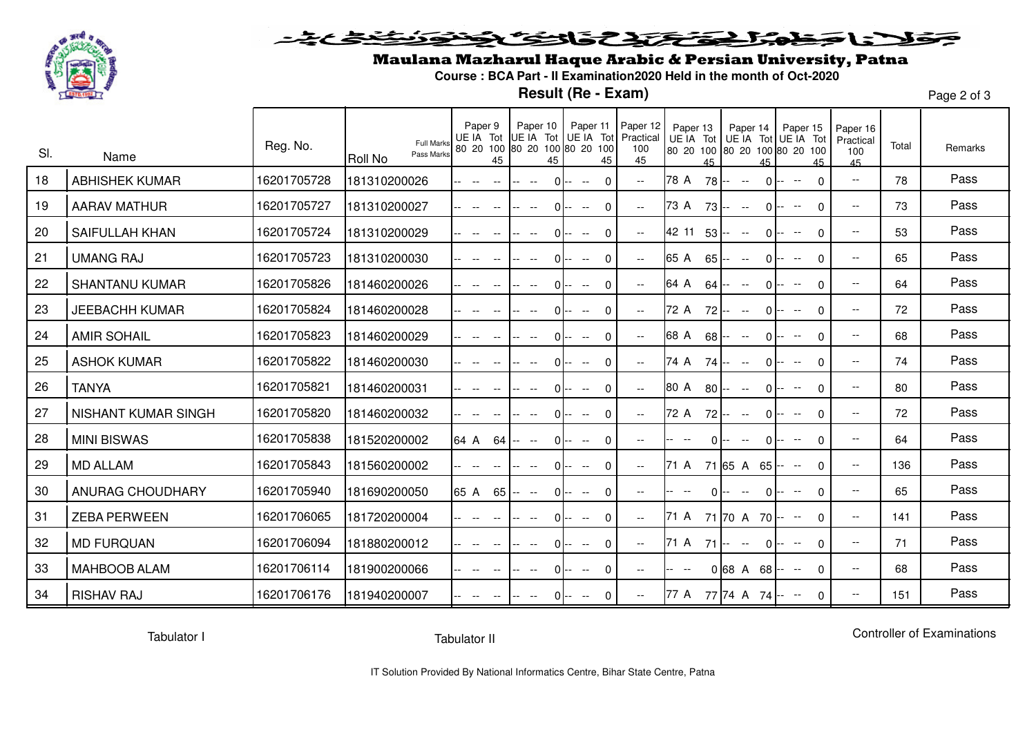

### وكنشخ عريد فلأناخط شاهد المختصر والتفكيف

# Maulana Mazharul Haque Arabic & Persian University, Patna

**Course : BCA Part - II Examination2020 Held in the month of Oct-2020**

**Result (Re - Exam)**

Page 2 of 3

| SI. | Name                  | Reg. No.    | <b>Full Marks</b><br>Pass Marks<br><b>Roll No</b> | Paper 9<br>UE IA Tot<br>80 20 100<br>45 | Paper 10<br>UE IA Tot UE IA Tot Practical<br>80 20 100 80 20 100<br>45 | Paper 11 Paper 12<br>45                                    | 100<br>45                                             | Paper 13<br>80 20 100 80 20 100 80 20 100<br>45 | Paper 14<br>UE IA Tot UE IA Tot UE IA Tot<br>45 | Paper 15<br>45                                                 | Paper 16<br>Practical<br>100<br>45 | Total | Remarks |
|-----|-----------------------|-------------|---------------------------------------------------|-----------------------------------------|------------------------------------------------------------------------|------------------------------------------------------------|-------------------------------------------------------|-------------------------------------------------|-------------------------------------------------|----------------------------------------------------------------|------------------------------------|-------|---------|
| 18  | <b>ABHISHEK KUMAR</b> | 16201705728 | 181310200026                                      | - --                                    | ΩI<br>$-$                                                              | $\Omega$<br>$\hspace{0.1mm}-\hspace{0.1mm}-\hspace{0.1mm}$ | $\hspace{0.05cm} - \hspace{0.05cm} - \hspace{0.05cm}$ | 78 A<br>78 <b>--</b>                            | $\Omega$<br>$\overline{\phantom{a}}$            | $\Omega$<br>$\hspace{0.1mm}-\hspace{0.1mm}-\hspace{0.1mm}$     | $\overline{\phantom{a}}$           | 78    | Pass    |
| 19  | <b>AARAV MATHUR</b>   | 16201705727 | 181310200027                                      |                                         | 0                                                                      | $\Omega$<br>$\overline{\phantom{a}}$                       | $\overline{\phantom{a}}$                              | 73 A<br>$73 -$                                  | $\Omega$<br>$\overline{\phantom{a}}$            | $\Omega$<br>$\overline{\phantom{m}}$                           | $- -$                              | 73    | Pass    |
| 20  | <b>SAIFULLAH KHAN</b> | 16201705724 | 181310200029                                      |                                         | ΩI                                                                     | $\Omega$<br>$\overline{\phantom{a}}$                       | $--$                                                  | 42 11<br>53                                     | $\Omega$<br>$--$                                | $\Omega$<br>$-$                                                | $\overline{\phantom{a}}$           | 53    | Pass    |
| 21  | <b>UMANG RAJ</b>      | 16201705723 | 181310200030                                      |                                         |                                                                        | $\Omega$<br>$0 -$<br>$\sim$                                | $ -$                                                  | 65 A<br>65                                      | 0<br>$\overline{\phantom{a}}$                   | $\Omega$                                                       | $\overline{\phantom{a}}$           | 65    | Pass    |
| 22  | <b>SHANTANU KUMAR</b> | 16201705826 | 181460200026                                      |                                         | ΩI                                                                     | $\Omega$                                                   | $\overline{\phantom{a}}$                              | 64 A<br>64 I                                    | 0<br>$\overline{\phantom{a}}$                   | $\mathbf{0}$                                                   | $\overline{\phantom{a}}$           | 64    | Pass    |
| 23  | <b>JEEBACHH KUMAR</b> | 16201705824 | 181460200028                                      |                                         | ΩI                                                                     | $\Omega$<br>$\sim$                                         | $\overline{\phantom{a}}$                              | 72 A<br>72 --                                   | 0                                               | $\mathbf{0}$                                                   | $\overline{\phantom{a}}$           | 72    | Pass    |
| 24  | <b>AMIR SOHAIL</b>    | 16201705823 | 181460200029                                      |                                         | ΩI<br>$-$                                                              | $\Omega$<br>$\overline{\phantom{a}}$                       | $\overline{\phantom{a}}$                              | 68 A<br>$68 -$                                  | 0<br>$\overline{\phantom{a}}$                   | $\mathbf 0$<br>$-$                                             | $- -$                              | 68    | Pass    |
| 25  | <b>ASHOK KUMAR</b>    | 16201705822 | 181460200030                                      |                                         | ΩI<br>$-$                                                              | $\Omega$<br>$\overline{\phantom{a}}$                       | $--$                                                  | 74 A<br>74 --                                   | 0<br>$\overline{\phantom{a}}$                   | $\mathbf{0}$                                                   | $\overline{\phantom{a}}$           | 74    | Pass    |
| 26  | <b>TANYA</b>          | 16201705821 | 181460200031                                      |                                         | ΩI<br>$-$                                                              | $\mathbf{0}$<br>$\overline{\phantom{a}}$                   | $\overline{\phantom{a}}$                              | 80 A<br>80 --                                   | 0<br>$\overline{\phantom{a}}$                   | $\Omega$                                                       | $\overline{\phantom{a}}$           | 80    | Pass    |
| 27  | NISHANT KUMAR SINGH   | 16201705820 | 181460200032                                      |                                         |                                                                        | $\mathbf{0}$<br>$\overline{\phantom{m}}$                   | $\overline{\phantom{a}}$                              | 72 A<br>$72 -$                                  | 0<br>$\overline{\phantom{a}}$                   | $\mathbf{0}$<br>$-$                                            | $\overline{\phantom{a}}$           | 72    | Pass    |
| 28  | <b>MINI BISWAS</b>    | 16201705838 | 181520200002                                      | 64 A<br>$64 -$                          | ΩI<br>$--$                                                             | $\mathbf 0$<br>$\overline{\phantom{a}}$                    | $- -$                                                 | 0                                               | $\Omega$                                        | $\Omega$                                                       | $ -$                               | 64    | Pass    |
| 29  | MD ALLAM              | 16201705843 | 181560200002                                      |                                         | Ωŀ                                                                     | $\Omega$<br>$\overline{\phantom{m}}$                       | $--$                                                  | 71 A                                            | 71 65 A 65                                      | $\mathbf{0}$<br>$\hspace{0.1mm}-\hspace{0.1mm}-\hspace{0.1mm}$ | $\overline{\phantom{a}}$           | 136   | Pass    |
| 30  | ANURAG CHOUDHARY      | 16201705940 | 181690200050                                      | 65 A<br>65                              | $\overline{\phantom{a}}$                                               | $\Omega$<br>0 I--<br>$\overline{\phantom{a}}$              | $\overline{\phantom{a}}$                              | 0                                               | 0<br>$-$                                        | $\mathbf{0}$                                                   | $\overline{\phantom{a}}$           | 65    | Pass    |
| -31 | <b>ZEBA PERWEEN</b>   | 16201706065 | 181720200004                                      |                                         | ΩI                                                                     | $\Omega$<br>$\overline{\phantom{m}}$                       | $--$                                                  | 71 A                                            | 71 70 A 70 --                                   | $\mathbf{0}$                                                   | $\overline{\phantom{a}}$           | 141   | Pass    |
| 32  | <b>MD FURQUAN</b>     | 16201706094 | 181880200012                                      | - --                                    | 01<br>$-$                                                              | $\Omega$<br>$-$                                            | $- -$                                                 | 71 A<br>71 <b>-</b>                             | $\Omega$<br>$- -$                               | $\mathbf{0}$<br>$\overline{\phantom{a}}$                       | $\overline{\phantom{a}}$           | 71    | Pass    |
| 33  | <b>MAHBOOB ALAM</b>   | 16201706114 | 181900200066                                      | - --<br>$-$                             | ΩI<br>$--$                                                             | $\Omega$<br>$- -$                                          | $- -$                                                 | $-$                                             | $0 68$ A 68                                     | $\mathbf{0}$<br>$- -$                                          | $\overline{\phantom{a}}$           | 68    | Pass    |
| 34  | <b>RISHAV RAJ</b>     | 16201706176 | 181940200007                                      |                                         | $-$                                                                    | $\Omega$<br>$0 -$<br>$--$                                  | $\hspace{0.05cm} -\hspace{0.05cm} -\hspace{0.05cm}$   | 77 A                                            | 77 74 A 74 -- --                                | $\mathbf{0}$                                                   | $\overline{\phantom{m}}$           | 151   | Pass    |

Tabulator I